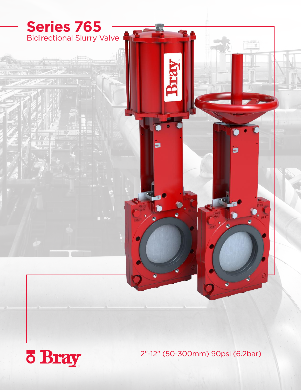

2"-12" (50-300mm) 90psi (6.2bar)

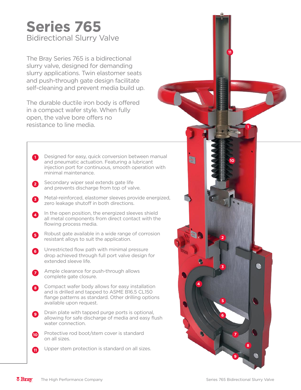# Bidirectional Slurry Valve **Series 765**

The Bray Series 765 is a bidirectional slurry valve, designed for demanding slurry applications. Twin elastomer seats and push-through gate design facilitate self-cleaning and prevent media build up.

The durable ductile iron body is offered in a compact wafer style. When fully open, the valve bore offers no resistance to line media.

- **1** Designed for easy, quick conversion between manual and pneumatic actuation. Featuring a lubricant injection port for continuous, smooth operation with minimal maintenance.
- **2** Secondary wiper seal extends gate life and prevents discharge from top of valve.
- **3** Metal-reinforced, elastomer sleeves provide energized, zero leakage shutoff in both directions.
- **4** In the open position, the energized sleeves shield all metal components from direct contact with the flowing process media.
- **5** Robust gate available in a wide range of corrosion resistant alloys to suit the application.
- **6** Unrestricted flow path with minimal pressure drop achieved through full port valve design for extended sleeve life.
- **7** Ample clearance for push-through allows complete gate closure.
- Compact wafer body allows for easy installation **8** and is drilled and tapped to ASME B16.5 CL150 flange patterns as standard. Other drilling options available upon request.
- Drain plate with tapped purge ports is optional, allowing for safe discharge of media and easy flush water connection. **9**
- Protective rod boot/stem cover is standard on all sizes. **10**
- Upper stem protection is standard on all sizes. **11**

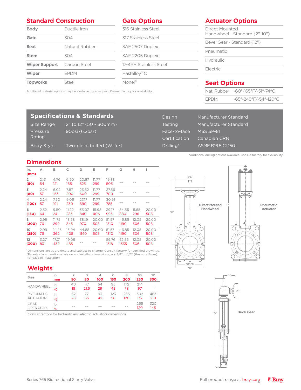## **Standard Construction**

## **Gate Options**

Monel®

| <b>Body</b>          | Ductile Iron   |  |  |  |  |
|----------------------|----------------|--|--|--|--|
| Gate                 | 304            |  |  |  |  |
| <b>Seat</b>          | Natural Rubber |  |  |  |  |
| <b>Stem</b>          | 304            |  |  |  |  |
| <b>Wiper Support</b> | Carbon Steel   |  |  |  |  |
| <b>Wiper</b>         | <b>FPDM</b>    |  |  |  |  |
| <b>Topworks</b>      | Steel          |  |  |  |  |

## 316 Stainless Steel 317 Stainless Steel SAF 2507 Duplex SAF 2205 Duplex 17-4PH Stainless Steel Hastelloy® C

## **Actuator Options**

| Direct Mounted<br>Handwheel - Standard (2"-10") |
|-------------------------------------------------|
| Bevel Gear - Standard (12")                     |
| Pneumatic                                       |
| Hydraulic                                       |
| Flectric                                        |
|                                                 |

## **Seat Options**

|             | Nat. Rubber -60°-165°F/-51°-74°C |
|-------------|----------------------------------|
| <b>FPDM</b> | -65°-248°F/-54°-120°C            |

#### Additional material options may be available upon request. Consult factory for availability.

## **Specifications & Standards**

Size Range 2" to 12" (50 - 300mm) Pressure Rating 90psi (6.2bar) Body Style Two-piece bolted (Wafer)

| Design         | Manufacturer Standard |
|----------------|-----------------------|
| Testing        | Manufacturer Standard |
| Face-to-face   | MSS SP-81             |
| Certification, | Canadian CRN          |
| Drilling*      | ASME B16.5 CL150      |

\*Additional drilling options available. Consult factory for availability.

| <b>Dimensions</b>      |            |              |              |               |              |               |               |              |              |
|------------------------|------------|--------------|--------------|---------------|--------------|---------------|---------------|--------------|--------------|
| In.<br>(mm)            | А          | в            | C            | D             | E            | F             | G             | н            |              |
| $\overline{2}$<br>(50) | 2.13<br>54 | 4.76<br>121  | 6.50<br>165  | 20.67<br>525  | 11.77<br>299 | 19.88<br>505  |               |              |              |
| 3<br>(80)              | 2.24<br>57 | 6.02<br>153  | 7.87<br>200  | 23.62<br>600  | 11.77<br>299 | 27.56<br>700  |               |              |              |
| 4<br>(100)             | 2.24<br>57 | 7.50<br>191  | 9.06<br>230  | 27.17<br>690  | 11.77<br>299 | 30.91<br>785  |               |              |              |
| 6<br>(150)             | 2.52<br>64 | 9.50<br>241  | 11.22<br>285 | 33.07<br>840  | 15.98<br>406 | 39.17<br>995  | 34.65<br>880  | 11.65<br>296 | 20.00<br>508 |
| 8<br>(200)             | 2.99<br>76 | 11.75<br>299 | 13.58<br>345 | 38.19<br>970  | 20.00<br>508 | 51.57<br>1310 | 46.85<br>1190 | 12.05<br>306 | 20.00<br>508 |
| 10<br>(250)            | 2.99<br>76 | 14.25<br>362 | 15.94<br>405 | 44.88<br>1140 | 20.00<br>508 | 51.57<br>1310 | 46.85<br>1190 | 12.05<br>306 | 20.00<br>508 |
| 12<br>(300)            | 3.27<br>83 | 17.01<br>432 | 19.09<br>485 |               |              | 59.76<br>1518 | 52.56<br>1335 | 12.05<br>306 | 20.00<br>508 |

<sup>1</sup> Dimensions are approximate and subject to change. Consult factory for certified drawings. 2 Face-to-face mentioned above are installed dimensions, add 1/4" to 1/2" (6mm to 13mm) for ease of installation.

## **Weights**

| <b>Size</b>                    | in       | 2        | 3          | 4        | 6        | 8         | 10         | 12         |
|--------------------------------|----------|----------|------------|----------|----------|-----------|------------|------------|
|                                | mm       | 50       | 80         | 100      | 150      | 200       | 250        | 300        |
| <b>HANDWHEEL</b>               | lb<br>kg | 40<br>18 | 47<br>21.5 | 64<br>29 | 95<br>43 | 172<br>78 | 214<br>97  |            |
| PNEUMATIC                      | lb       | 62       | 77         | 93       | 123      | 265       | 302        | 463        |
| <b>ACTUATOR</b>                | kg       | 28       | 35         | 42       | 56       | 120       | 137        | 210        |
| <b>GEAR</b><br><b>OPERATOR</b> | Ib<br>kg |          |            |          |          |           | 265<br>120 | 320<br>145 |

**Bevel Gear** 1 Consult factory for hydraulic and electric actuators dimensions.





"A"